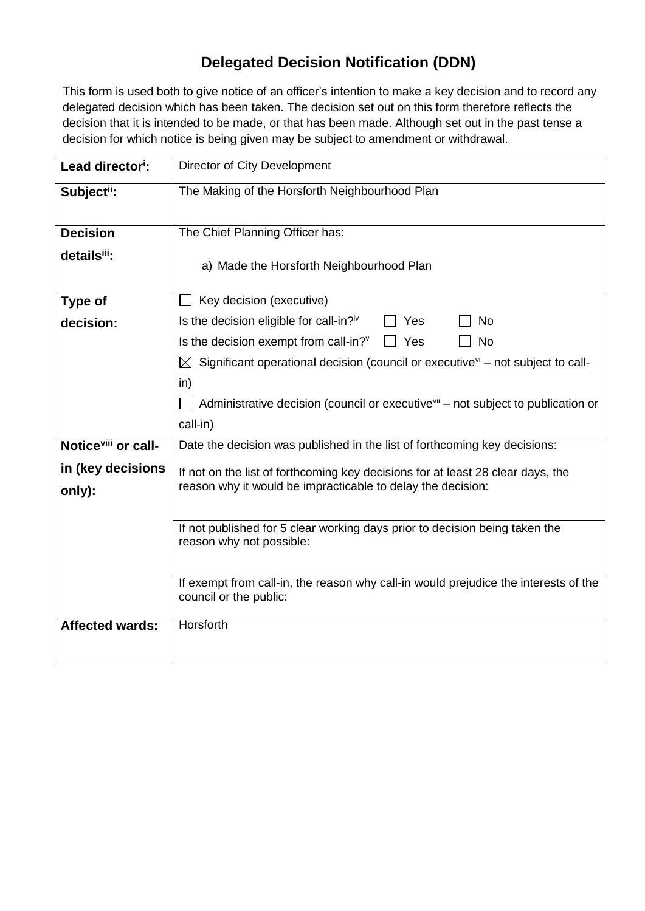## **Delegated Decision Notification (DDN)**

This form is used both to give notice of an officer's intention to make a key decision and to record any delegated decision which has been taken. The decision set out on this form therefore reflects the decision that it is intended to be made, or that has been made. Although set out in the past tense a decision for which notice is being given may be subject to amendment or withdrawal.

| Lead director <sup>i</sup> :    | Director of City Development                                                                                                                   |  |  |  |
|---------------------------------|------------------------------------------------------------------------------------------------------------------------------------------------|--|--|--|
| Subject <sup>ii</sup> :         | The Making of the Horsforth Neighbourhood Plan                                                                                                 |  |  |  |
|                                 |                                                                                                                                                |  |  |  |
| <b>Decision</b>                 | The Chief Planning Officer has:                                                                                                                |  |  |  |
| details <sup>iii</sup> :        | a) Made the Horsforth Neighbourhood Plan                                                                                                       |  |  |  |
| <b>Type of</b>                  | Key decision (executive)                                                                                                                       |  |  |  |
| decision:                       | Is the decision eligible for call-in?iv<br>No<br>Yes                                                                                           |  |  |  |
|                                 | Is the decision exempt from call-in? <sup>v</sup><br><b>No</b><br>Yes                                                                          |  |  |  |
|                                 | Significant operational decision (council or executive $\mathbf{v}^{\mathsf{i}}$ – not subject to call-<br>$\boxtimes$                         |  |  |  |
|                                 | in)                                                                                                                                            |  |  |  |
|                                 | Administrative decision (council or executive <sup>vii</sup> – not subject to publication or                                                   |  |  |  |
|                                 | call-in)                                                                                                                                       |  |  |  |
| Notice <sup>viii</sup> or call- | Date the decision was published in the list of forthcoming key decisions:                                                                      |  |  |  |
| in (key decisions               | If not on the list of forthcoming key decisions for at least 28 clear days, the<br>reason why it would be impracticable to delay the decision: |  |  |  |
| only):                          |                                                                                                                                                |  |  |  |
|                                 |                                                                                                                                                |  |  |  |
|                                 | If not published for 5 clear working days prior to decision being taken the<br>reason why not possible:                                        |  |  |  |
|                                 |                                                                                                                                                |  |  |  |
|                                 | If exempt from call-in, the reason why call-in would prejudice the interests of the                                                            |  |  |  |
|                                 | council or the public:                                                                                                                         |  |  |  |
| <b>Affected wards:</b>          | Horsforth                                                                                                                                      |  |  |  |
|                                 |                                                                                                                                                |  |  |  |
|                                 |                                                                                                                                                |  |  |  |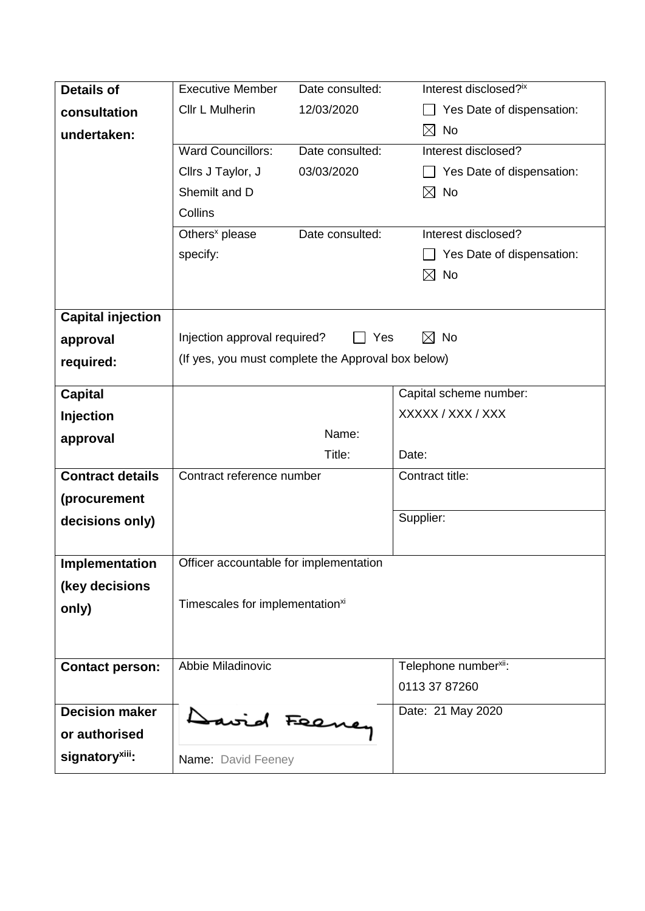| <b>Details of</b>           | <b>Executive Member</b>                                  | Date consulted: | Interest disclosed?ix             |  |
|-----------------------------|----------------------------------------------------------|-----------------|-----------------------------------|--|
| consultation                | Cllr L Mulherin                                          | 12/03/2020      | Yes Date of dispensation:         |  |
| undertaken:                 |                                                          |                 | $\boxtimes$<br>No                 |  |
|                             | <b>Ward Councillors:</b>                                 | Date consulted: | Interest disclosed?               |  |
|                             | Cllrs J Taylor, J                                        | 03/03/2020      | Yes Date of dispensation:         |  |
|                             | Shemilt and D                                            |                 | ⊠<br>No                           |  |
|                             | Collins                                                  |                 |                                   |  |
|                             | Others <sup>x</sup> please                               | Date consulted: | Interest disclosed?               |  |
|                             | specify:                                                 |                 | Yes Date of dispensation:         |  |
|                             |                                                          |                 | <b>No</b><br>$\boxtimes$          |  |
|                             |                                                          |                 |                                   |  |
| <b>Capital injection</b>    |                                                          |                 |                                   |  |
| approval                    | $\boxtimes$<br>No<br>Injection approval required?<br>Yes |                 |                                   |  |
| required:                   | (If yes, you must complete the Approval box below)       |                 |                                   |  |
|                             |                                                          |                 |                                   |  |
| <b>Capital</b>              |                                                          |                 | Capital scheme number:            |  |
| <b>Injection</b>            |                                                          |                 | XXXXX / XXX / XXX                 |  |
| approval                    |                                                          | Name:           |                                   |  |
|                             |                                                          | Title:          | Date:                             |  |
| <b>Contract details</b>     | Contract reference number                                |                 | Contract title:                   |  |
| (procurement                |                                                          |                 |                                   |  |
| decisions only)             |                                                          |                 | Supplier:                         |  |
|                             |                                                          |                 |                                   |  |
| Implementation              | Officer accountable for implementation                   |                 |                                   |  |
| (key decisions              |                                                          |                 |                                   |  |
| only)                       | Timescales for implementation <sup>xi</sup>              |                 |                                   |  |
|                             |                                                          |                 |                                   |  |
|                             |                                                          |                 |                                   |  |
| <b>Contact person:</b>      | Abbie Miladinovic                                        |                 | Telephone number <sup>xii</sup> : |  |
|                             |                                                          |                 | 0113 37 87260                     |  |
| <b>Decision maker</b>       |                                                          |                 | Date: 21 May 2020                 |  |
| or authorised               | David Feeney                                             |                 |                                   |  |
| signatory <sup>xiii</sup> : | Name: David Feeney                                       |                 |                                   |  |